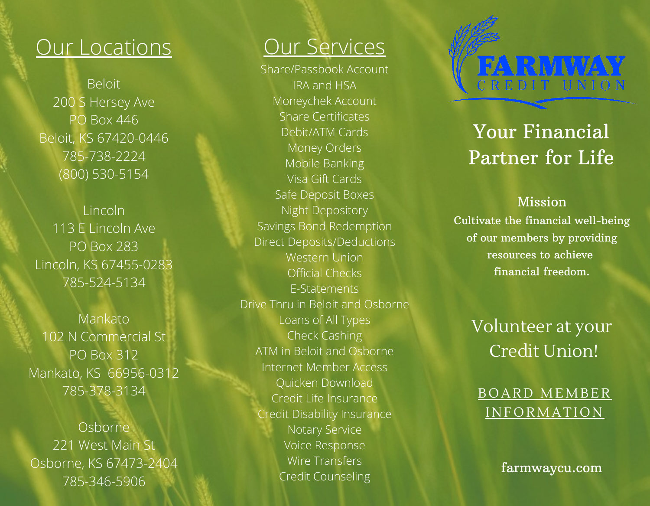# Our Locations

Beloit 200 S Hersey Ave PO Box 446 Beloit, KS 67420-0446 785-738-2224 (800) 530-5154

Lincoln 113 E Lincoln Ave PO Box 283 Lincoln, KS 67455-0283 785-524-5134

Mankato 102 N Commercial St PO Box 312 Mankato, KS 66956-0312 785-378-3134

Osborne 221 West Main St Osborne, KS 67473-2404 785-346-5906

# Our Services

Share/Passbook Account IRA and HSA Moneychek Account Share Certificates Debit/ATM Cards Money Orders Mobile Banking Visa Gift Cards Safe Deposit Boxes Night Depository Savings Bond Redemption Direct Deposits/Deductions Western Union Official Checks E-Statements Drive Thru in Beloit and Osborne Loans of All Types Check Cashing ATM in Beloit and Osborne Internet Member Access Quicken Download Credit Life Insurance Credit Disability Insurance Notary Service Voice Response Wire Transfers Credit Counseling

# FARMWAY

# Your Financial Partner for Life

## Mission

Cultivate the financial well-being of our members by providing resources to achieve financial freedom.

Volunteer at your Credit Union!

BOARD MEMBER **INFORMATION** 

farmwaycu.com